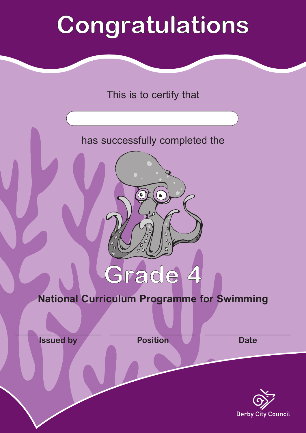# Congratulations

### This is to certify that

### has successfully completed the

## **National Curriculum Programme for Swimming**

Grade 4

 $\mathcal{L}=\mathcal{L}$ **Issued by**

 $\mathcal{L}=\mathcal{L}=\mathcal{L}=\mathcal{L}=\mathcal{L}=\mathcal{L}=\mathcal{L}=\mathcal{L}=\mathcal{L}=\mathcal{L}=\mathcal{L}=\mathcal{L}=\mathcal{L}=\mathcal{L}=\mathcal{L}=\mathcal{L}=\mathcal{L}=\mathcal{L}=\mathcal{L}=\mathcal{L}=\mathcal{L}=\mathcal{L}=\mathcal{L}=\mathcal{L}=\mathcal{L}=\mathcal{L}=\mathcal{L}=\mathcal{L}=\mathcal{L}=\mathcal{L}=\mathcal{L}=\mathcal{L}=\mathcal{L}=\mathcal{L}=\mathcal{L}=\mathcal{L}=\mathcal{$ **Position**

 $\mathcal{L}_\text{max}$  and  $\mathcal{L}_\text{max}$  and  $\mathcal{L}_\text{max}$ **Date**